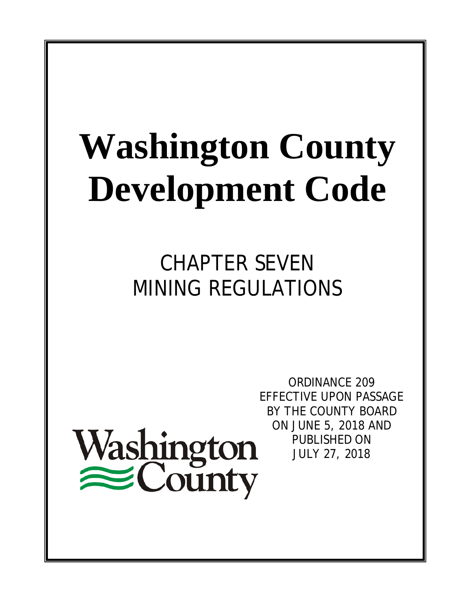# **Washington County Development Code**

CHAPTER SEVEN MINING REGULATIONS

Washington<br>
County

ORDINANCE 209 EFFECTIVE UPON PASSAGE BY THE COUNTY BOARD ON JUNE 5, 2018 AND PUBLISHED ON JULY 27, 2018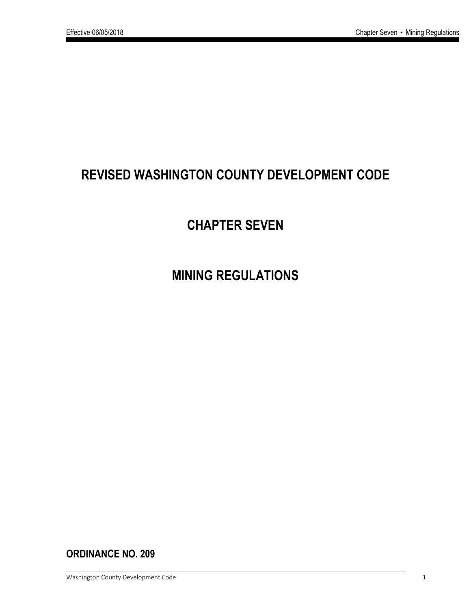# **REVISED WASHINGTON COUNTY DEVELOPMENT CODE**

# **CHAPTER SEVEN**

# **MINING REGULATIONS**

**ORDINANCE NO. 209**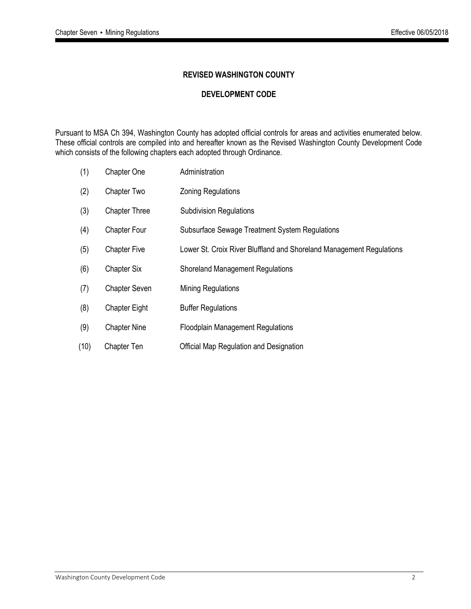#### **REVISED WASHINGTON COUNTY**

#### **DEVELOPMENT CODE**

Pursuant to MSA Ch 394, Washington County has adopted official controls for areas and activities enumerated below. These official controls are compiled into and hereafter known as the Revised Washington County Development Code which consists of the following chapters each adopted through Ordinance.

- (1) Chapter One Administration
- (2) Chapter Two Zoning Regulations
- (3) Chapter Three Subdivision Regulations
- (4) Chapter Four Subsurface Sewage Treatment System Regulations
- (5) Chapter Five Lower St. Croix River Bluffland and Shoreland Management Regulations
- (6) Chapter Six Shoreland Management Regulations
- (7) Chapter Seven Mining Regulations
- (8) Chapter Eight Buffer Regulations
- (9) Chapter Nine Floodplain Management Regulations
- (10) Chapter Ten Official Map Regulation and Designation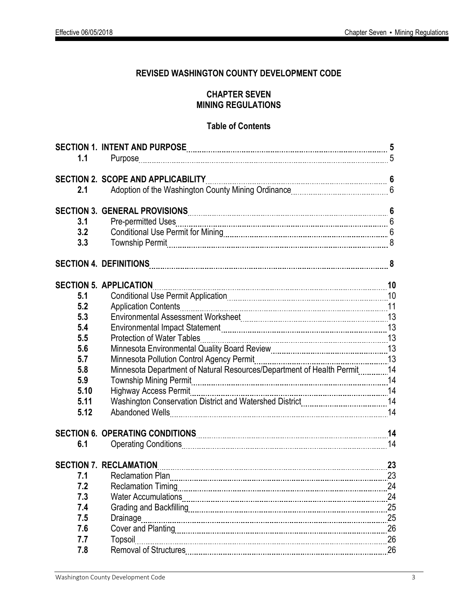## **REVISED WASHINGTON COUNTY DEVELOPMENT CODE**

### **CHAPTER SEVEN MINING REGULATIONS**

#### **Table of Contents**

| 1.1  |                                                                         |    |
|------|-------------------------------------------------------------------------|----|
|      |                                                                         |    |
|      | <b>SECTION 2. SCOPE AND APPLICABILITY</b>                               |    |
| 2.1  |                                                                         |    |
|      |                                                                         |    |
|      |                                                                         |    |
| 3.1  |                                                                         |    |
| 3.2  |                                                                         |    |
| 3.3  |                                                                         |    |
|      |                                                                         |    |
|      | <b>SECTION 5. APPLICATION</b>                                           |    |
| 5.1  |                                                                         |    |
| 5.2  |                                                                         |    |
| 5.3  |                                                                         |    |
| 5.4  |                                                                         |    |
| 5.5  | <b>Protection of Water Tables</b>                                       |    |
| 5.6  |                                                                         |    |
| 5.7  |                                                                         |    |
| 5.8  | Minnesota Department of Natural Resources/Department of Health Permit14 |    |
| 5.9  |                                                                         |    |
| 5.10 |                                                                         |    |
| 5.11 |                                                                         |    |
| 5.12 |                                                                         |    |
|      |                                                                         | 14 |
| 6.1  |                                                                         |    |
|      | <b>SECTION 7. RECLAMATION</b>                                           |    |
| 7.1  |                                                                         |    |
| 7.2  |                                                                         | 24 |
| 7.3  |                                                                         | 24 |
| 7.4  |                                                                         | 25 |
| 7.5  | Drainage                                                                | 25 |
| 7.6  |                                                                         | 26 |
| 7.7  | Topsoil                                                                 | 26 |
| 7.8  | <b>Removal of Structures</b>                                            | 26 |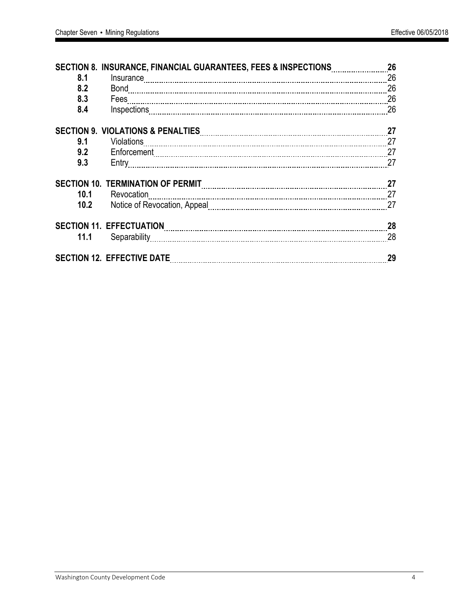|      | SECTION 8. INSURANCE, FINANCIAL GUARANTEES, FEES & INSPECTIONS | 26 |
|------|----------------------------------------------------------------|----|
| 8.1  | Insurance                                                      | 26 |
| 8.2  |                                                                | 26 |
| 8.3  |                                                                | 26 |
| 8.4  |                                                                | 26 |
|      |                                                                | 27 |
| 9.1  |                                                                |    |
| 9.2  |                                                                | 27 |
| 9.3  |                                                                | 27 |
|      |                                                                | 27 |
| 10.1 | Revocation                                                     | 27 |
| 10.2 |                                                                | 27 |
|      |                                                                | 28 |
|      |                                                                | 28 |
|      |                                                                | 29 |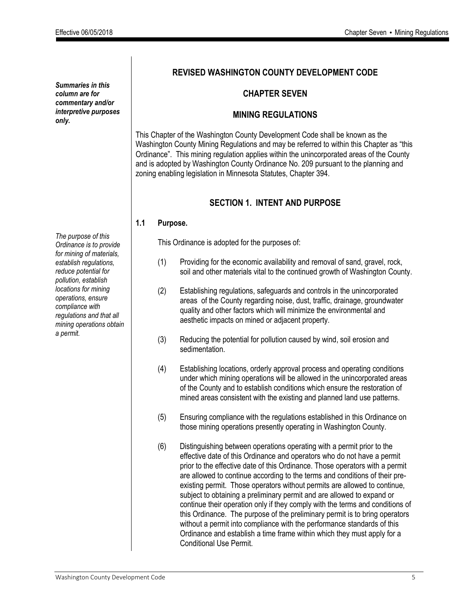*Summaries in this column are for commentary and/or interpretive purposes only.*

*The purpose of this Ordinance is to provide for mining of materials, establish regulations, reduce potential for pollution, establish locations for mining operations, ensure compliance with regulations and that all mining operations obtain a permit.*

## **REVISED WASHINGTON COUNTY DEVELOPMENT CODE**

#### **CHAPTER SEVEN**

#### **MINING REGULATIONS**

This Chapter of the Washington County Development Code shall be known as the Washington County Mining Regulations and may be referred to within this Chapter as "this Ordinance". This mining regulation applies within the unincorporated areas of the County and is adopted by Washington County Ordinance No. 209 pursuant to the planning and zoning enabling legislation in Minnesota Statutes, Chapter 394.

### **SECTION 1. INTENT AND PURPOSE**

#### **1.1 Purpose.**

This Ordinance is adopted for the purposes of:

- (1) Providing for the economic availability and removal of sand, gravel, rock, soil and other materials vital to the continued growth of Washington County.
- (2) Establishing regulations, safeguards and controls in the unincorporated areas of the County regarding noise, dust, traffic, drainage, groundwater quality and other factors which will minimize the environmental and aesthetic impacts on mined or adjacent property.
- (3) Reducing the potential for pollution caused by wind, soil erosion and sedimentation.
- (4) Establishing locations, orderly approval process and operating conditions under which mining operations will be allowed in the unincorporated areas of the County and to establish conditions which ensure the restoration of mined areas consistent with the existing and planned land use patterns.
- (5) Ensuring compliance with the regulations established in this Ordinance on those mining operations presently operating in Washington County.
- (6) Distinguishing between operations operating with a permit prior to the effective date of this Ordinance and operators who do not have a permit prior to the effective date of this Ordinance. Those operators with a permit are allowed to continue according to the terms and conditions of their preexisting permit. Those operators without permits are allowed to continue, subject to obtaining a preliminary permit and are allowed to expand or continue their operation only if they comply with the terms and conditions of this Ordinance. The purpose of the preliminary permit is to bring operators without a permit into compliance with the performance standards of this Ordinance and establish a time frame within which they must apply for a Conditional Use Permit.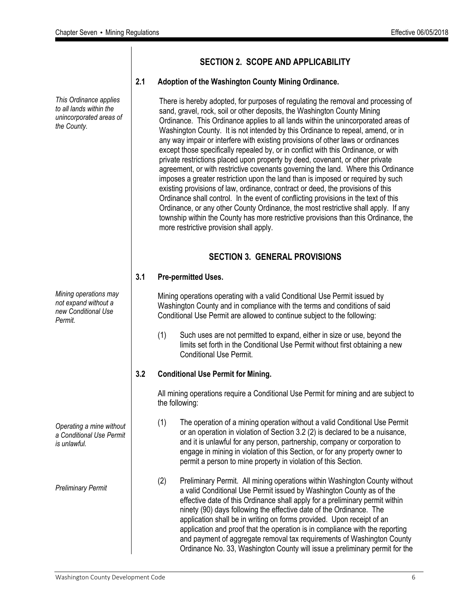*This Ordinance applies to all lands within the unincorporated areas of the County. Mining operations may not expand without a new Conditional Use Permit. Operating a mine without a Conditional Use Permit is unlawful. Preliminary Permit* There is hereby adopted, for purposes of regulating the removal and processing of sand, gravel, rock, soil or other deposits, the Washington County Mining Ordinance. This Ordinance applies to all lands within the unincorporated areas of more restrictive provision shall apply. **SECTION 3. GENERAL PROVISIONS 3.1 Pre-permitted Uses.**  Conditional Use Permit. **3.2 Conditional Use Permit for Mining.** the following:

#### **SECTION 2. SCOPE AND APPLICABILITY**

#### **2.1 Adoption of the Washington County Mining Ordinance.**

Washington County. It is not intended by this Ordinance to repeal, amend, or in any way impair or interfere with existing provisions of other laws or ordinances except those specifically repealed by, or in conflict with this Ordinance, or with private restrictions placed upon property by deed, covenant, or other private agreement, or with restrictive covenants governing the land. Where this Ordinance imposes a greater restriction upon the land than is imposed or required by such existing provisions of law, ordinance, contract or deed, the provisions of this Ordinance shall control. In the event of conflicting provisions in the text of this Ordinance, or any other County Ordinance, the most restrictive shall apply. If any township within the County has more restrictive provisions than this Ordinance, the

Mining operations operating with a valid Conditional Use Permit issued by Washington County and in compliance with the terms and conditions of said Conditional Use Permit are allowed to continue subject to the following:

(1) Such uses are not permitted to expand, either in size or use, beyond the limits set forth in the Conditional Use Permit without first obtaining a new

All mining operations require a Conditional Use Permit for mining and are subject to

- (1) The operation of a mining operation without a valid Conditional Use Permit or an operation in violation of Section 3.2 (2) is declared to be a nuisance, and it is unlawful for any person, partnership, company or corporation to engage in mining in violation of this Section, or for any property owner to permit a person to mine property in violation of this Section.
- (2) Preliminary Permit. All mining operations within Washington County without a valid Conditional Use Permit issued by Washington County as of the effective date of this Ordinance shall apply for a preliminary permit within ninety (90) days following the effective date of the Ordinance. The application shall be in writing on forms provided. Upon receipt of an application and proof that the operation is in compliance with the reporting and payment of aggregate removal tax requirements of Washington County Ordinance No. 33, Washington County will issue a preliminary permit for the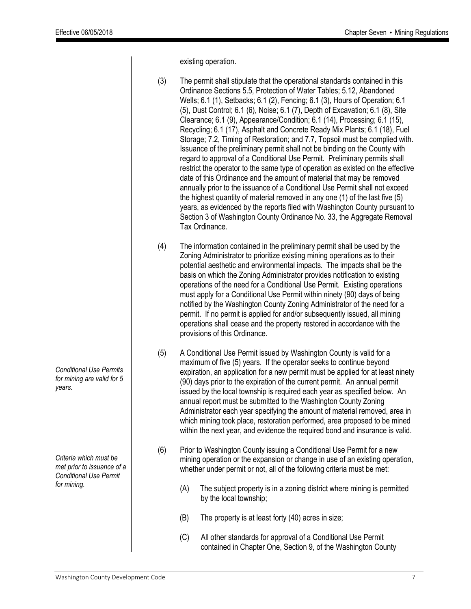existing operation.

*Conditional Use Permits for mining are valid for 5 years. Criteria which must be met prior to issuance of a Conditional Use Permit for mining.* (3) The permit shall stipulate that the operational standards contained in this Ordinance Sections 5.5, Protection of Water Tables; 5.12, Abandoned Wells; 6.1 (1), Setbacks; 6.1 (2), Fencing; 6.1 (3), Hours of Operation; 6.1 (5), Dust Control; 6.1 (6), Noise; 6.1 (7), Depth of Excavation; 6.1 (8), Site Clearance; 6.1 (9), Appearance/Condition; 6.1 (14), Processing; 6.1 (15), Recycling; 6.1 (17), Asphalt and Concrete Ready Mix Plants; 6.1 (18), Fuel Storage; 7.2, Timing of Restoration; and 7.7, Topsoil must be complied with. Issuance of the preliminary permit shall not be binding on the County with regard to approval of a Conditional Use Permit. Preliminary permits shall restrict the operator to the same type of operation as existed on the effective date of this Ordinance and the amount of material that may be removed annually prior to the issuance of a Conditional Use Permit shall not exceed the highest quantity of material removed in any one (1) of the last five (5) years, as evidenced by the reports filed with Washington County pursuant to Section 3 of Washington County Ordinance No. 33, the Aggregate Removal Tax Ordinance. (4) The information contained in the preliminary permit shall be used by the Zoning Administrator to prioritize existing mining operations as to their potential aesthetic and environmental impacts. The impacts shall be the basis on which the Zoning Administrator provides notification to existing operations of the need for a Conditional Use Permit. Existing operations must apply for a Conditional Use Permit within ninety (90) days of being notified by the Washington County Zoning Administrator of the need for a permit. If no permit is applied for and/or subsequently issued, all mining operations shall cease and the property restored in accordance with the provisions of this Ordinance. (5) A Conditional Use Permit issued by Washington County is valid for a maximum of five (5) years. If the operator seeks to continue beyond expiration, an application for a new permit must be applied for at least ninety (90) days prior to the expiration of the current permit. An annual permit issued by the local township is required each year as specified below. An annual report must be submitted to the Washington County Zoning Administrator each year specifying the amount of material removed, area in which mining took place, restoration performed, area proposed to be mined within the next year, and evidence the required bond and insurance is valid. (6) Prior to Washington County issuing a Conditional Use Permit for a new mining operation or the expansion or change in use of an existing operation, whether under permit or not, all of the following criteria must be met: (A) The subject property is in a zoning district where mining is permitted by the local township; (B) The property is at least forty (40) acres in size; (C) All other standards for approval of a Conditional Use Permit contained in Chapter One, Section 9, of the Washington County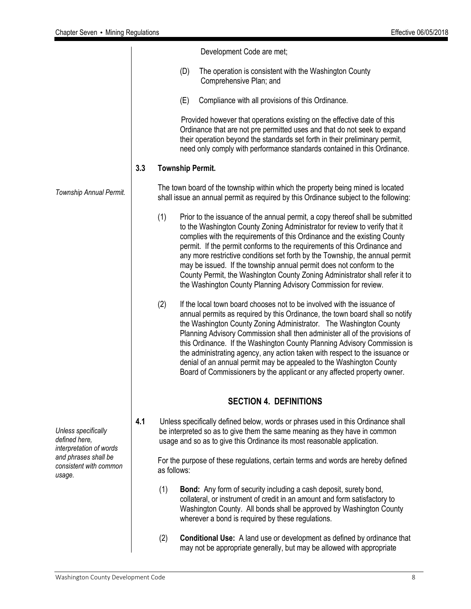|                                                                 |                                |     | Development Code are met;                                                                                                                                                                                                                                                                                                                                                                                                                                                                                                                                                                                                    |  |  |  |  |  |
|-----------------------------------------------------------------|--------------------------------|-----|------------------------------------------------------------------------------------------------------------------------------------------------------------------------------------------------------------------------------------------------------------------------------------------------------------------------------------------------------------------------------------------------------------------------------------------------------------------------------------------------------------------------------------------------------------------------------------------------------------------------------|--|--|--|--|--|
|                                                                 |                                |     | (D)<br>The operation is consistent with the Washington County<br>Comprehensive Plan; and                                                                                                                                                                                                                                                                                                                                                                                                                                                                                                                                     |  |  |  |  |  |
|                                                                 |                                |     | Compliance with all provisions of this Ordinance.<br>(E)                                                                                                                                                                                                                                                                                                                                                                                                                                                                                                                                                                     |  |  |  |  |  |
|                                                                 |                                |     | Provided however that operations existing on the effective date of this<br>Ordinance that are not pre permitted uses and that do not seek to expand<br>their operation beyond the standards set forth in their preliminary permit,<br>need only comply with performance standards contained in this Ordinance.                                                                                                                                                                                                                                                                                                               |  |  |  |  |  |
|                                                                 | 3.3<br><b>Township Permit.</b> |     |                                                                                                                                                                                                                                                                                                                                                                                                                                                                                                                                                                                                                              |  |  |  |  |  |
| Township Annual Permit.                                         |                                |     | The town board of the township within which the property being mined is located<br>shall issue an annual permit as required by this Ordinance subject to the following:                                                                                                                                                                                                                                                                                                                                                                                                                                                      |  |  |  |  |  |
|                                                                 |                                | (1) | Prior to the issuance of the annual permit, a copy thereof shall be submitted<br>to the Washington County Zoning Administrator for review to verify that it<br>complies with the requirements of this Ordinance and the existing County<br>permit. If the permit conforms to the requirements of this Ordinance and<br>any more restrictive conditions set forth by the Township, the annual permit<br>may be issued. If the township annual permit does not conform to the<br>County Permit, the Washington County Zoning Administrator shall refer it to<br>the Washington County Planning Advisory Commission for review. |  |  |  |  |  |
|                                                                 |                                | (2) | If the local town board chooses not to be involved with the issuance of<br>annual permits as required by this Ordinance, the town board shall so notify<br>the Washington County Zoning Administrator. The Washington County<br>Planning Advisory Commission shall then administer all of the provisions of<br>this Ordinance. If the Washington County Planning Advisory Commission is<br>the administrating agency, any action taken with respect to the issuance or<br>denial of an annual permit may be appealed to the Washington County<br>Board of Commissioners by the applicant or any affected property owner.     |  |  |  |  |  |
|                                                                 |                                |     | <b>SECTION 4. DEFINITIONS</b>                                                                                                                                                                                                                                                                                                                                                                                                                                                                                                                                                                                                |  |  |  |  |  |
| Unless specifically<br>defined here,<br>interpretation of words | 4.1                            |     | Unless specifically defined below, words or phrases used in this Ordinance shall<br>be interpreted so as to give them the same meaning as they have in common<br>usage and so as to give this Ordinance its most reasonable application.                                                                                                                                                                                                                                                                                                                                                                                     |  |  |  |  |  |
| and phrases shall be<br>consistent with common<br>usage.        |                                |     | For the purpose of these regulations, certain terms and words are hereby defined<br>as follows:                                                                                                                                                                                                                                                                                                                                                                                                                                                                                                                              |  |  |  |  |  |
|                                                                 |                                | (1) | <b>Bond:</b> Any form of security including a cash deposit, surety bond,<br>collateral, or instrument of credit in an amount and form satisfactory to<br>Washington County. All bonds shall be approved by Washington County<br>wherever a bond is required by these regulations.                                                                                                                                                                                                                                                                                                                                            |  |  |  |  |  |
|                                                                 |                                | (2) | <b>Conditional Use:</b> A land use or development as defined by ordinance that<br>may not be appropriate generally, but may be allowed with appropriate                                                                                                                                                                                                                                                                                                                                                                                                                                                                      |  |  |  |  |  |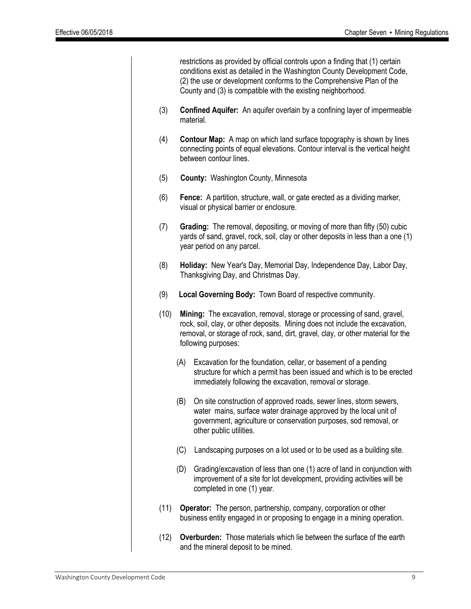restrictions as provided by official controls upon a finding that (1) certain conditions exist as detailed in the Washington County Development Code, (2) the use or development conforms to the Comprehensive Plan of the County and (3) is compatible with the existing neighborhood.

- (3) **Confined Aquifer:** An aquifer overlain by a confining layer of impermeable material.
- (4) **Contour Map:** A map on which land surface topography is shown by lines connecting points of equal elevations. Contour interval is the vertical height between contour lines.
- (5) **County:** Washington County, Minnesota
- (6) **Fence:** A partition, structure, wall, or gate erected as a dividing marker, visual or physical barrier or enclosure.
- (7) **Grading:** The removal, depositing, or moving of more than fifty (50) cubic yards of sand, gravel, rock, soil, clay or other deposits in less than a one (1) year period on any parcel.
- (8) **Holiday:** New Year's Day, Memorial Day, Independence Day, Labor Day, Thanksgiving Day, and Christmas Day.
- (9) **Local Governing Body:** Town Board of respective community.
- (10) **Mining:** The excavation, removal, storage or processing of sand, gravel, rock, soil, clay, or other deposits. Mining does not include the excavation, removal, or storage of rock, sand, dirt, gravel, clay, or other material for the following purposes:
	- (A) Excavation for the foundation, cellar, or basement of a pending structure for which a permit has been issued and which is to be erected immediately following the excavation, removal or storage.
	- (B) On site construction of approved roads, sewer lines, storm sewers, water mains, surface water drainage approved by the local unit of government, agriculture or conservation purposes, sod removal, or other public utilities.
	- (C) Landscaping purposes on a lot used or to be used as a building site.
	- (D) Grading/excavation of less than one (1) acre of land in conjunction with improvement of a site for lot development, providing activities will be completed in one (1) year.
- (11) **Operator:** The person, partnership, company, corporation or other business entity engaged in or proposing to engage in a mining operation.
- (12) **Overburden:** Those materials which lie between the surface of the earth and the mineral deposit to be mined.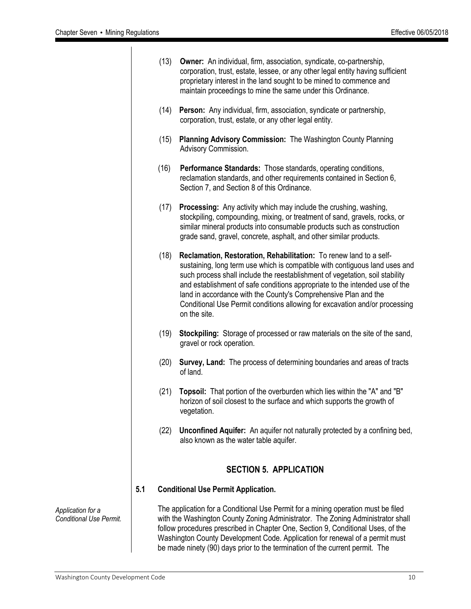|     | (13) | <b>Owner:</b> An individual, firm, association, syndicate, co-partnership,<br>corporation, trust, estate, lessee, or any other legal entity having sufficient<br>proprietary interest in the land sought to be mined to commence and<br>maintain proceedings to mine the same under this Ordinance.                                                                                                                                                                                |
|-----|------|------------------------------------------------------------------------------------------------------------------------------------------------------------------------------------------------------------------------------------------------------------------------------------------------------------------------------------------------------------------------------------------------------------------------------------------------------------------------------------|
|     | (14) | Person: Any individual, firm, association, syndicate or partnership,<br>corporation, trust, estate, or any other legal entity.                                                                                                                                                                                                                                                                                                                                                     |
|     | (15) | Planning Advisory Commission: The Washington County Planning<br>Advisory Commission.                                                                                                                                                                                                                                                                                                                                                                                               |
|     | (16) | <b>Performance Standards:</b> Those standards, operating conditions,<br>reclamation standards, and other requirements contained in Section 6,<br>Section 7, and Section 8 of this Ordinance.                                                                                                                                                                                                                                                                                       |
|     | (17) | <b>Processing:</b> Any activity which may include the crushing, washing,<br>stockpiling, compounding, mixing, or treatment of sand, gravels, rocks, or<br>similar mineral products into consumable products such as construction<br>grade sand, gravel, concrete, asphalt, and other similar products.                                                                                                                                                                             |
|     | (18) | Reclamation, Restoration, Rehabilitation: To renew land to a self-<br>sustaining, long term use which is compatible with contiguous land uses and<br>such process shall include the reestablishment of vegetation, soil stability<br>and establishment of safe conditions appropriate to the intended use of the<br>land in accordance with the County's Comprehensive Plan and the<br>Conditional Use Permit conditions allowing for excavation and/or processing<br>on the site. |
|     | (19) | Stockpiling: Storage of processed or raw materials on the site of the sand,<br>gravel or rock operation.                                                                                                                                                                                                                                                                                                                                                                           |
|     | (20) | Survey, Land: The process of determining boundaries and areas of tracts<br>of land.                                                                                                                                                                                                                                                                                                                                                                                                |
|     | (21) | Topsoil: That portion of the overburden which lies within the "A" and "B"<br>horizon of soil closest to the surface and which supports the growth of<br>vegetation.                                                                                                                                                                                                                                                                                                                |
|     | (22) | <b>Unconfined Aquifer:</b> An aquifer not naturally protected by a confining bed,<br>also known as the water table aquifer.                                                                                                                                                                                                                                                                                                                                                        |
|     |      | <b>SECTION 5. APPLICATION</b>                                                                                                                                                                                                                                                                                                                                                                                                                                                      |
| 5.1 |      | <b>Conditional Use Permit Application.</b>                                                                                                                                                                                                                                                                                                                                                                                                                                         |
|     |      | The application for a Conditional Use Permit for a mining operation must be filed<br>with the Washington County Zoning Administrator. The Zoning Administrator shall<br>follow procedures prescribed in Chapter One, Section 9, Conditional Uses, of the<br>Washington County Development Code. Application for renewal of a permit must<br>be made ninety (90) days prior to the termination of the current permit. The                                                           |

*Application for a Conditional Use Permit.*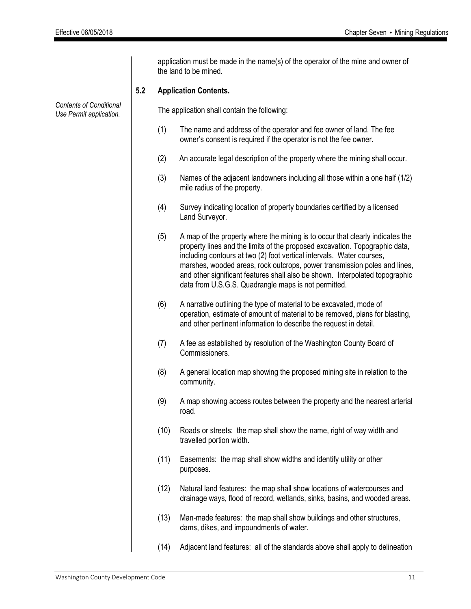*Contents of Conditional Use Permit application.* application must be made in the name(s) of the operator of the mine and owner of the land to be mined. **5.2 Application Contents.** The application shall contain the following: (1) The name and address of the operator and fee owner of land. The fee owner's consent is required if the operator is not the fee owner. (2) An accurate legal description of the property where the mining shall occur. (3) Names of the adjacent landowners including all those within a one half (1/2) mile radius of the property. (4) Survey indicating location of property boundaries certified by a licensed Land Surveyor. (5) A map of the property where the mining is to occur that clearly indicates the property lines and the limits of the proposed excavation. Topographic data, including contours at two (2) foot vertical intervals. Water courses, marshes, wooded areas, rock outcrops, power transmission poles and lines, and other significant features shall also be shown. Interpolated topographic data from U.S.G.S. Quadrangle maps is not permitted. (6) A narrative outlining the type of material to be excavated, mode of operation, estimate of amount of material to be removed, plans for blasting, and other pertinent information to describe the request in detail. (7) A fee as established by resolution of the Washington County Board of Commissioners. (8) A general location map showing the proposed mining site in relation to the community. (9) A map showing access routes between the property and the nearest arterial road. (10) Roads or streets: the map shall show the name, right of way width and travelled portion width. (11) Easements: the map shall show widths and identify utility or other purposes. (12) Natural land features: the map shall show locations of watercourses and drainage ways, flood of record, wetlands, sinks, basins, and wooded areas. (13) Man-made features: the map shall show buildings and other structures, dams, dikes, and impoundments of water. (14) Adjacent land features: all of the standards above shall apply to delineation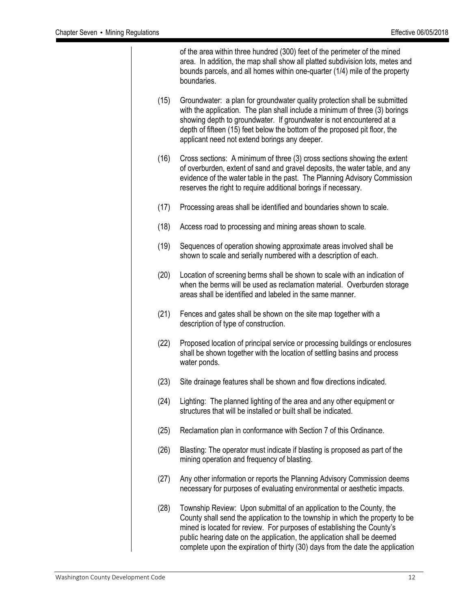of the area within three hundred (300) feet of the perimeter of the mined area. In addition, the map shall show all platted subdivision lots, metes and bounds parcels, and all homes within one-quarter (1/4) mile of the property boundaries. (15) Groundwater: a plan for groundwater quality protection shall be submitted with the application. The plan shall include a minimum of three (3) borings showing depth to groundwater. If groundwater is not encountered at a depth of fifteen (15) feet below the bottom of the proposed pit floor, the applicant need not extend borings any deeper. (16) Cross sections: A minimum of three (3) cross sections showing the extent of overburden, extent of sand and gravel deposits, the water table, and any evidence of the water table in the past. The Planning Advisory Commission reserves the right to require additional borings if necessary. (17) Processing areas shall be identified and boundaries shown to scale. (18) Access road to processing and mining areas shown to scale. (19) Sequences of operation showing approximate areas involved shall be shown to scale and serially numbered with a description of each. (20) Location of screening berms shall be shown to scale with an indication of when the berms will be used as reclamation material. Overburden storage areas shall be identified and labeled in the same manner. (21) Fences and gates shall be shown on the site map together with a description of type of construction. (22) Proposed location of principal service or processing buildings or enclosures shall be shown together with the location of settling basins and process water ponds. (23) Site drainage features shall be shown and flow directions indicated. (24) Lighting: The planned lighting of the area and any other equipment or structures that will be installed or built shall be indicated. (25) Reclamation plan in conformance with Section 7 of this Ordinance. (26) Blasting: The operator must indicate if blasting is proposed as part of the mining operation and frequency of blasting. (27) Any other information or reports the Planning Advisory Commission deems necessary for purposes of evaluating environmental or aesthetic impacts. (28) Township Review: Upon submittal of an application to the County, the County shall send the application to the township in which the property to be mined is located for review. For purposes of establishing the County's public hearing date on the application, the application shall be deemed complete upon the expiration of thirty (30) days from the date the application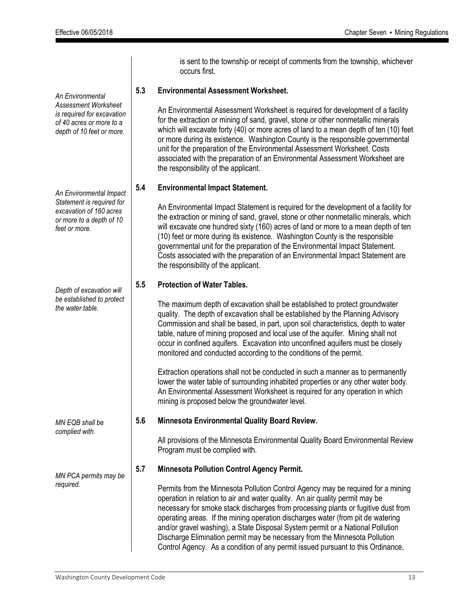*An Environmental Assessment Worksheet is required for excavation of 40 acres or more to a depth of 10 feet or more.*

*An Environmental Impact Statement is required for excavation of 160 acres or more to a depth of 10 feet or more.*

*Depth of excavation will be established to protect the water table.*

*MN EQB shall be complied with.*

*MN PCA permits may be required.*

is sent to the township or receipt of comments from the township, whichever occurs first.

#### **5.3 Environmental Assessment Worksheet.**

An Environmental Assessment Worksheet is required for development of a facility for the extraction or mining of sand, gravel, stone or other nonmetallic minerals which will excavate forty (40) or more acres of land to a mean depth of ten (10) feet or more during its existence. Washington County is the responsible governmental unit for the preparation of the Environmental Assessment Worksheet. Costs associated with the preparation of an Environmental Assessment Worksheet are the responsibility of the applicant.

#### **5.4 Environmental Impact Statement.**

An Environmental Impact Statement is required for the development of a facility for the extraction or mining of sand, gravel, stone or other nonmetallic minerals, which will excavate one hundred sixty (160) acres of land or more to a mean depth of ten (10) feet or more during its existence. Washington County is the responsible governmental unit for the preparation of the Environmental Impact Statement. Costs associated with the preparation of an Environmental Impact Statement are the responsibility of the applicant.

#### **5.5 Protection of Water Tables.**

The maximum depth of excavation shall be established to protect groundwater quality. The depth of excavation shall be established by the Planning Advisory Commission and shall be based, in part, upon soil characteristics, depth to water table, nature of mining proposed and local use of the aquifer. Mining shall not occur in confined aquifers. Excavation into unconfined aquifers must be closely monitored and conducted according to the conditions of the permit.

Extraction operations shall not be conducted in such a manner as to permanently lower the water table of surrounding inhabited properties or any other water body. An Environmental Assessment Worksheet is required for any operation in which mining is proposed below the groundwater level.

#### **5.6 Minnesota Environmental Quality Board Review.**

All provisions of the Minnesota Environmental Quality Board Environmental Review Program must be complied with.

#### **5.7 Minnesota Pollution Control Agency Permit.**

Permits from the Minnesota Pollution Control Agency may be required for a mining operation in relation to air and water quality. An air quality permit may be necessary for smoke stack discharges from processing plants or fugitive dust from operating areas. If the mining operation discharges water (from pit de watering and/or gravel washing), a State Disposal System permit or a National Pollution Discharge Elimination permit may be necessary from the Minnesota Pollution Control Agency. As a condition of any permit issued pursuant to this Ordinance,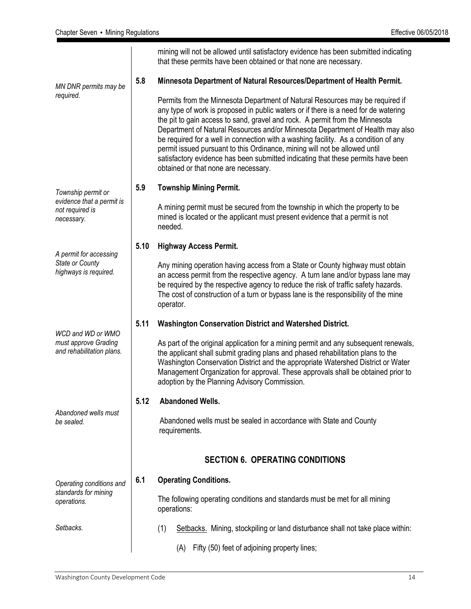|                                                            |      | mining will not be allowed until satisfactory evidence has been submitted indicating<br>that these permits have been obtained or that none are necessary.                                                                                                                                                                                                                                                                                                                                                                                                                                                                               |
|------------------------------------------------------------|------|-----------------------------------------------------------------------------------------------------------------------------------------------------------------------------------------------------------------------------------------------------------------------------------------------------------------------------------------------------------------------------------------------------------------------------------------------------------------------------------------------------------------------------------------------------------------------------------------------------------------------------------------|
| MN DNR permits may be                                      | 5.8  | Minnesota Department of Natural Resources/Department of Health Permit.                                                                                                                                                                                                                                                                                                                                                                                                                                                                                                                                                                  |
| required.                                                  |      | Permits from the Minnesota Department of Natural Resources may be required if<br>any type of work is proposed in public waters or if there is a need for de watering<br>the pit to gain access to sand, gravel and rock. A permit from the Minnesota<br>Department of Natural Resources and/or Minnesota Department of Health may also<br>be required for a well in connection with a washing facility. As a condition of any<br>permit issued pursuant to this Ordinance, mining will not be allowed until<br>satisfactory evidence has been submitted indicating that these permits have been<br>obtained or that none are necessary. |
| Township permit or                                         | 5.9  | <b>Township Mining Permit.</b>                                                                                                                                                                                                                                                                                                                                                                                                                                                                                                                                                                                                          |
| evidence that a permit is<br>not required is<br>necessary. |      | A mining permit must be secured from the township in which the property to be<br>mined is located or the applicant must present evidence that a permit is not<br>needed.                                                                                                                                                                                                                                                                                                                                                                                                                                                                |
| A permit for accessing                                     | 5.10 | <b>Highway Access Permit.</b>                                                                                                                                                                                                                                                                                                                                                                                                                                                                                                                                                                                                           |
| State or County<br>highways is required.                   |      | Any mining operation having access from a State or County highway must obtain<br>an access permit from the respective agency. A turn lane and/or bypass lane may<br>be required by the respective agency to reduce the risk of traffic safety hazards.<br>The cost of construction of a turn or bypass lane is the responsibility of the mine<br>operator.                                                                                                                                                                                                                                                                              |
| WCD and WD or WMO                                          | 5.11 | <b>Washington Conservation District and Watershed District.</b>                                                                                                                                                                                                                                                                                                                                                                                                                                                                                                                                                                         |
| must approve Grading<br>and rehabilitation plans.          |      | As part of the original application for a mining permit and any subsequent renewals,<br>the applicant shall submit grading plans and phased rehabilitation plans to the<br>Washington Conservation District and the appropriate Watershed District or Water<br>Management Organization for approval. These approvals shall be obtained prior to<br>adoption by the Planning Advisory Commission.                                                                                                                                                                                                                                        |
|                                                            | 5.12 | <b>Abandoned Wells.</b>                                                                                                                                                                                                                                                                                                                                                                                                                                                                                                                                                                                                                 |
| Abandoned wells must<br>be sealed.                         |      | Abandoned wells must be sealed in accordance with State and County<br>requirements.                                                                                                                                                                                                                                                                                                                                                                                                                                                                                                                                                     |
|                                                            |      | <b>SECTION 6. OPERATING CONDITIONS</b>                                                                                                                                                                                                                                                                                                                                                                                                                                                                                                                                                                                                  |
| Operating conditions and                                   | 6.1  | <b>Operating Conditions.</b>                                                                                                                                                                                                                                                                                                                                                                                                                                                                                                                                                                                                            |
| standards for mining<br>operations.                        |      | The following operating conditions and standards must be met for all mining<br>operations:                                                                                                                                                                                                                                                                                                                                                                                                                                                                                                                                              |
| Setbacks.                                                  |      | (1)<br>Setbacks. Mining, stockpiling or land disturbance shall not take place within:                                                                                                                                                                                                                                                                                                                                                                                                                                                                                                                                                   |
|                                                            |      | (A) Fifty (50) feet of adjoining property lines;                                                                                                                                                                                                                                                                                                                                                                                                                                                                                                                                                                                        |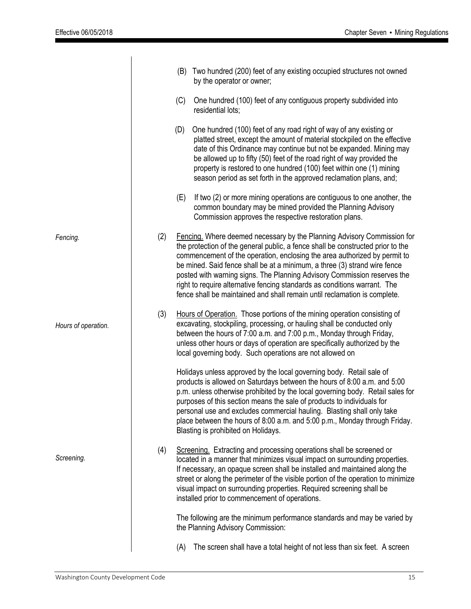|                     |     | (B) | Two hundred (200) feet of any existing occupied structures not owned<br>by the operator or owner;                                                                                                                                                                                                                                                                                                                                                                                                                                                          |
|---------------------|-----|-----|------------------------------------------------------------------------------------------------------------------------------------------------------------------------------------------------------------------------------------------------------------------------------------------------------------------------------------------------------------------------------------------------------------------------------------------------------------------------------------------------------------------------------------------------------------|
|                     |     | (C) | One hundred (100) feet of any contiguous property subdivided into<br>residential lots;                                                                                                                                                                                                                                                                                                                                                                                                                                                                     |
|                     |     | (D) | One hundred (100) feet of any road right of way of any existing or<br>platted street, except the amount of material stockpiled on the effective<br>date of this Ordinance may continue but not be expanded. Mining may<br>be allowed up to fifty (50) feet of the road right of way provided the<br>property is restored to one hundred (100) feet within one (1) mining<br>season period as set forth in the approved reclamation plans, and;                                                                                                             |
|                     |     | (E) | If two (2) or more mining operations are contiguous to one another, the<br>common boundary may be mined provided the Planning Advisory<br>Commission approves the respective restoration plans.                                                                                                                                                                                                                                                                                                                                                            |
| Fencing.            | (2) |     | Fencing. Where deemed necessary by the Planning Advisory Commission for<br>the protection of the general public, a fence shall be constructed prior to the<br>commencement of the operation, enclosing the area authorized by permit to<br>be mined. Said fence shall be at a minimum, a three (3) strand wire fence<br>posted with warning signs. The Planning Advisory Commission reserves the<br>right to require alternative fencing standards as conditions warrant. The<br>fence shall be maintained and shall remain until reclamation is complete. |
| Hours of operation. | (3) |     | Hours of Operation. Those portions of the mining operation consisting of<br>excavating, stockpiling, processing, or hauling shall be conducted only<br>between the hours of 7:00 a.m. and 7:00 p.m., Monday through Friday,<br>unless other hours or days of operation are specifically authorized by the<br>local governing body. Such operations are not allowed on                                                                                                                                                                                      |
|                     |     |     | Holidays unless approved by the local governing body. Retail sale of<br>products is allowed on Saturdays between the hours of 8:00 a.m. and 5:00<br>p.m. unless otherwise prohibited by the local governing body. Retail sales for<br>purposes of this section means the sale of products to individuals for<br>personal use and excludes commercial hauling. Blasting shall only take<br>place between the hours of 8:00 a.m. and 5:00 p.m., Monday through Friday.<br>Blasting is prohibited on Holidays.                                                |
| Screening.          | (4) |     | Screening. Extracting and processing operations shall be screened or<br>located in a manner that minimizes visual impact on surrounding properties.<br>If necessary, an opaque screen shall be installed and maintained along the<br>street or along the perimeter of the visible portion of the operation to minimize<br>visual impact on surrounding properties. Required screening shall be<br>installed prior to commencement of operations.                                                                                                           |
|                     |     |     | The following are the minimum performance standards and may be varied by<br>the Planning Advisory Commission:                                                                                                                                                                                                                                                                                                                                                                                                                                              |
|                     |     | (A) | The screen shall have a total height of not less than six feet. A screen                                                                                                                                                                                                                                                                                                                                                                                                                                                                                   |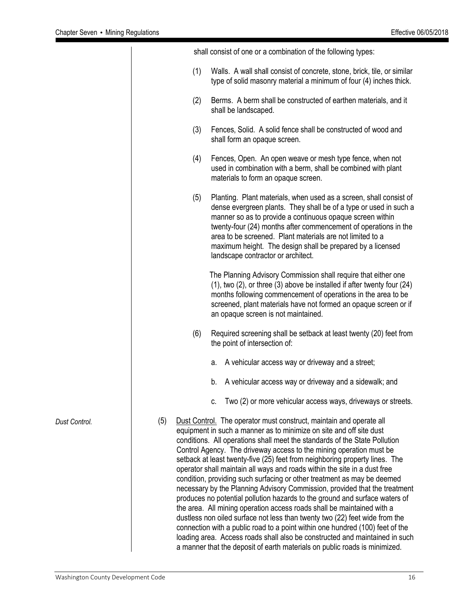|     |     | shall consist of one or a combination of the following types:                                                                                                                                                                                                                                                                                                                                                                                                                                                                                                                                                                                                                                                                                                                                                                                                                                                                                                                                                                                                                                              |
|-----|-----|------------------------------------------------------------------------------------------------------------------------------------------------------------------------------------------------------------------------------------------------------------------------------------------------------------------------------------------------------------------------------------------------------------------------------------------------------------------------------------------------------------------------------------------------------------------------------------------------------------------------------------------------------------------------------------------------------------------------------------------------------------------------------------------------------------------------------------------------------------------------------------------------------------------------------------------------------------------------------------------------------------------------------------------------------------------------------------------------------------|
|     | (1) | Walls. A wall shall consist of concrete, stone, brick, tile, or similar<br>type of solid masonry material a minimum of four (4) inches thick.                                                                                                                                                                                                                                                                                                                                                                                                                                                                                                                                                                                                                                                                                                                                                                                                                                                                                                                                                              |
|     | (2) | Berms. A berm shall be constructed of earthen materials, and it<br>shall be landscaped.                                                                                                                                                                                                                                                                                                                                                                                                                                                                                                                                                                                                                                                                                                                                                                                                                                                                                                                                                                                                                    |
|     | (3) | Fences, Solid. A solid fence shall be constructed of wood and<br>shall form an opaque screen.                                                                                                                                                                                                                                                                                                                                                                                                                                                                                                                                                                                                                                                                                                                                                                                                                                                                                                                                                                                                              |
|     | (4) | Fences, Open. An open weave or mesh type fence, when not<br>used in combination with a berm, shall be combined with plant<br>materials to form an opaque screen.                                                                                                                                                                                                                                                                                                                                                                                                                                                                                                                                                                                                                                                                                                                                                                                                                                                                                                                                           |
|     | (5) | Planting. Plant materials, when used as a screen, shall consist of<br>dense evergreen plants. They shall be of a type or used in such a<br>manner so as to provide a continuous opaque screen within<br>twenty-four (24) months after commencement of operations in the<br>area to be screened. Plant materials are not limited to a<br>maximum height. The design shall be prepared by a licensed<br>landscape contractor or architect.                                                                                                                                                                                                                                                                                                                                                                                                                                                                                                                                                                                                                                                                   |
|     |     | The Planning Advisory Commission shall require that either one<br>$(1)$ , two $(2)$ , or three $(3)$ above be installed if after twenty four $(24)$<br>months following commencement of operations in the area to be<br>screened, plant materials have not formed an opaque screen or if<br>an opaque screen is not maintained.                                                                                                                                                                                                                                                                                                                                                                                                                                                                                                                                                                                                                                                                                                                                                                            |
|     | (6) | Required screening shall be setback at least twenty (20) feet from<br>the point of intersection of:                                                                                                                                                                                                                                                                                                                                                                                                                                                                                                                                                                                                                                                                                                                                                                                                                                                                                                                                                                                                        |
|     |     | A vehicular access way or driveway and a street;<br>а.                                                                                                                                                                                                                                                                                                                                                                                                                                                                                                                                                                                                                                                                                                                                                                                                                                                                                                                                                                                                                                                     |
|     |     | A vehicular access way or driveway and a sidewalk; and<br>b.                                                                                                                                                                                                                                                                                                                                                                                                                                                                                                                                                                                                                                                                                                                                                                                                                                                                                                                                                                                                                                               |
|     |     | Two (2) or more vehicular access ways, driveways or streets.<br>C.                                                                                                                                                                                                                                                                                                                                                                                                                                                                                                                                                                                                                                                                                                                                                                                                                                                                                                                                                                                                                                         |
| (5) |     | Dust Control. The operator must construct, maintain and operate all<br>equipment in such a manner as to minimize on site and off site dust<br>conditions. All operations shall meet the standards of the State Pollution<br>Control Agency. The driveway access to the mining operation must be<br>setback at least twenty-five (25) feet from neighboring property lines. The<br>operator shall maintain all ways and roads within the site in a dust free<br>condition, providing such surfacing or other treatment as may be deemed<br>necessary by the Planning Advisory Commission, provided that the treatment<br>produces no potential pollution hazards to the ground and surface waters of<br>the area. All mining operation access roads shall be maintained with a<br>dustless non oiled surface not less than twenty two (22) feet wide from the<br>connection with a public road to a point within one hundred (100) feet of the<br>loading area. Access roads shall also be constructed and maintained in such<br>a manner that the deposit of earth materials on public roads is minimized. |

*Dust Control.*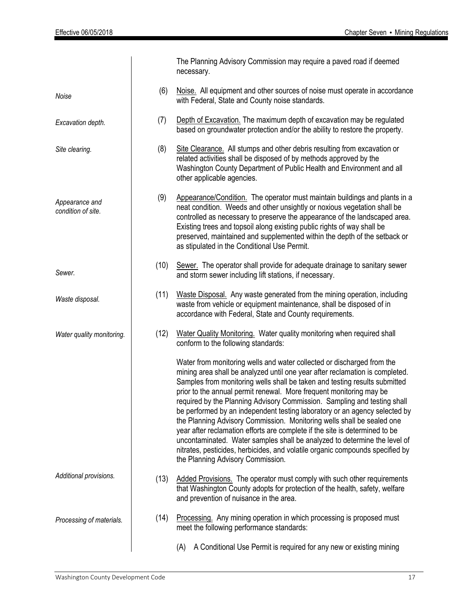|                                      |      | The Planning Advisory Commission may require a paved road if deemed<br>necessary.                                                                                                                                                                                                                                                                                                                                                                                                                                                                                                                                                                                                                                                                                                                                                 |  |  |  |  |
|--------------------------------------|------|-----------------------------------------------------------------------------------------------------------------------------------------------------------------------------------------------------------------------------------------------------------------------------------------------------------------------------------------------------------------------------------------------------------------------------------------------------------------------------------------------------------------------------------------------------------------------------------------------------------------------------------------------------------------------------------------------------------------------------------------------------------------------------------------------------------------------------------|--|--|--|--|
| Noise                                | (6)  | Noise. All equipment and other sources of noise must operate in accordance<br>with Federal, State and County noise standards.                                                                                                                                                                                                                                                                                                                                                                                                                                                                                                                                                                                                                                                                                                     |  |  |  |  |
| Excavation depth.                    | (7)  | Depth of Excavation. The maximum depth of excavation may be regulated<br>based on groundwater protection and/or the ability to restore the property.                                                                                                                                                                                                                                                                                                                                                                                                                                                                                                                                                                                                                                                                              |  |  |  |  |
| Site clearing.                       | (8)  | Site Clearance. All stumps and other debris resulting from excavation or<br>related activities shall be disposed of by methods approved by the<br>Washington County Department of Public Health and Environment and all<br>other applicable agencies.                                                                                                                                                                                                                                                                                                                                                                                                                                                                                                                                                                             |  |  |  |  |
| Appearance and<br>condition of site. | (9)  | Appearance/Condition. The operator must maintain buildings and plants in a<br>neat condition. Weeds and other unsightly or noxious vegetation shall be<br>controlled as necessary to preserve the appearance of the landscaped area.<br>Existing trees and topsoil along existing public rights of way shall be<br>preserved, maintained and supplemented within the depth of the setback or<br>as stipulated in the Conditional Use Permit.                                                                                                                                                                                                                                                                                                                                                                                      |  |  |  |  |
| Sewer.                               | (10) | Sewer. The operator shall provide for adequate drainage to sanitary sewer<br>and storm sewer including lift stations, if necessary.                                                                                                                                                                                                                                                                                                                                                                                                                                                                                                                                                                                                                                                                                               |  |  |  |  |
| Waste disposal.                      | (11) | Waste Disposal. Any waste generated from the mining operation, including<br>waste from vehicle or equipment maintenance, shall be disposed of in<br>accordance with Federal, State and County requirements.                                                                                                                                                                                                                                                                                                                                                                                                                                                                                                                                                                                                                       |  |  |  |  |
| Water quality monitoring.            | (12) | Water Quality Monitoring. Water quality monitoring when required shall<br>conform to the following standards:                                                                                                                                                                                                                                                                                                                                                                                                                                                                                                                                                                                                                                                                                                                     |  |  |  |  |
|                                      |      | Water from monitoring wells and water collected or discharged from the<br>mining area shall be analyzed until one year after reclamation is completed.<br>Samples from monitoring wells shall be taken and testing results submitted<br>prior to the annual permit renewal. More frequent monitoring may be<br>required by the Planning Advisory Commission. Sampling and testing shall<br>be performed by an independent testing laboratory or an agency selected by<br>the Planning Advisory Commission. Monitoring wells shall be sealed one<br>year after reclamation efforts are complete if the site is determined to be<br>uncontaminated. Water samples shall be analyzed to determine the level of<br>nitrates, pesticides, herbicides, and volatile organic compounds specified by<br>the Planning Advisory Commission. |  |  |  |  |
| Additional provisions.               | (13) | Added Provisions. The operator must comply with such other requirements<br>that Washington County adopts for protection of the health, safety, welfare<br>and prevention of nuisance in the area.                                                                                                                                                                                                                                                                                                                                                                                                                                                                                                                                                                                                                                 |  |  |  |  |
| Processing of materials.             | (14) | Processing. Any mining operation in which processing is proposed must<br>meet the following performance standards:                                                                                                                                                                                                                                                                                                                                                                                                                                                                                                                                                                                                                                                                                                                |  |  |  |  |
|                                      |      | A Conditional Use Permit is required for any new or existing mining<br>(A)                                                                                                                                                                                                                                                                                                                                                                                                                                                                                                                                                                                                                                                                                                                                                        |  |  |  |  |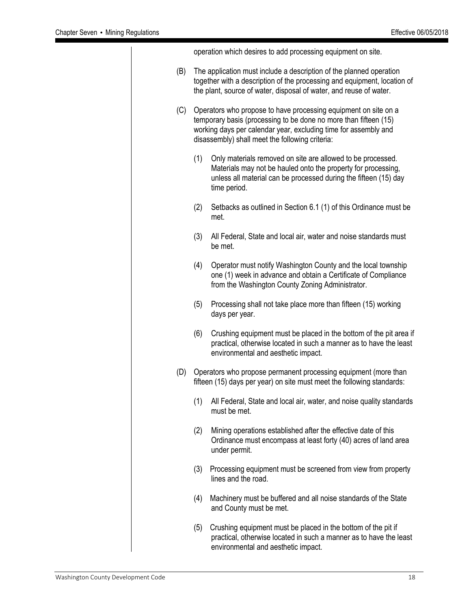operation which desires to add processing equipment on site. (B) The application must include a description of the planned operation together with a description of the processing and equipment, location of the plant, source of water, disposal of water, and reuse of water. (C) Operators who propose to have processing equipment on site on a temporary basis (processing to be done no more than fifteen (15) working days per calendar year, excluding time for assembly and disassembly) shall meet the following criteria: (1) Only materials removed on site are allowed to be processed. Materials may not be hauled onto the property for processing, unless all material can be processed during the fifteen (15) day time period. (2) Setbacks as outlined in Section 6.1 (1) of this Ordinance must be met. (3) All Federal, State and local air, water and noise standards must be met. (4) Operator must notify Washington County and the local township one (1) week in advance and obtain a Certificate of Compliance from the Washington County Zoning Administrator. (5) Processing shall not take place more than fifteen (15) working days per year. (6) Crushing equipment must be placed in the bottom of the pit area if practical, otherwise located in such a manner as to have the least environmental and aesthetic impact. (D) Operators who propose permanent processing equipment (more than fifteen (15) days per year) on site must meet the following standards: (1) All Federal, State and local air, water, and noise quality standards must be met. (2) Mining operations established after the effective date of this Ordinance must encompass at least forty (40) acres of land area under permit. (3) Processing equipment must be screened from view from property lines and the road. (4) Machinery must be buffered and all noise standards of the State and County must be met. (5) Crushing equipment must be placed in the bottom of the pit if practical, otherwise located in such a manner as to have the least environmental and aesthetic impact.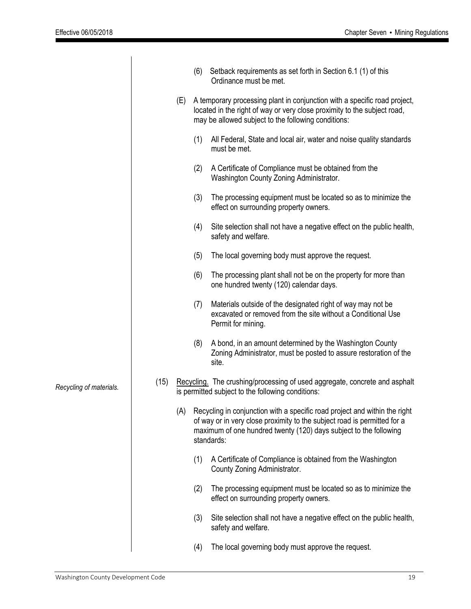|                         |      |     | (6) | Setback requirements as set forth in Section 6.1 (1) of this<br>Ordinance must be met.                                                                                                                                                    |
|-------------------------|------|-----|-----|-------------------------------------------------------------------------------------------------------------------------------------------------------------------------------------------------------------------------------------------|
|                         |      | (E) |     | A temporary processing plant in conjunction with a specific road project,<br>located in the right of way or very close proximity to the subject road,<br>may be allowed subject to the following conditions:                              |
|                         |      |     | (1) | All Federal, State and local air, water and noise quality standards<br>must be met.                                                                                                                                                       |
|                         |      |     | (2) | A Certificate of Compliance must be obtained from the<br>Washington County Zoning Administrator.                                                                                                                                          |
|                         |      |     | (3) | The processing equipment must be located so as to minimize the<br>effect on surrounding property owners.                                                                                                                                  |
|                         |      |     | (4) | Site selection shall not have a negative effect on the public health,<br>safety and welfare.                                                                                                                                              |
|                         |      |     | (5) | The local governing body must approve the request.                                                                                                                                                                                        |
|                         |      |     | (6) | The processing plant shall not be on the property for more than<br>one hundred twenty (120) calendar days.                                                                                                                                |
|                         |      |     | (7) | Materials outside of the designated right of way may not be<br>excavated or removed from the site without a Conditional Use<br>Permit for mining.                                                                                         |
|                         |      |     | (8) | A bond, in an amount determined by the Washington County<br>Zoning Administrator, must be posted to assure restoration of the<br>site.                                                                                                    |
| Recycling of materials. | (15) |     |     | Recycling. The crushing/processing of used aggregate, concrete and asphalt<br>is permitted subject to the following conditions:                                                                                                           |
|                         |      | (A) |     | Recycling in conjunction with a specific road project and within the right<br>of way or in very close proximity to the subject road is permitted for a<br>maximum of one hundred twenty (120) days subject to the following<br>standards: |
|                         |      |     | (1) | A Certificate of Compliance is obtained from the Washington<br>County Zoning Administrator.                                                                                                                                               |
|                         |      |     | (2) | The processing equipment must be located so as to minimize the<br>effect on surrounding property owners.                                                                                                                                  |
|                         |      |     | (3) | Site selection shall not have a negative effect on the public health,<br>safety and welfare.                                                                                                                                              |
|                         |      |     | (4) | The local governing body must approve the request.                                                                                                                                                                                        |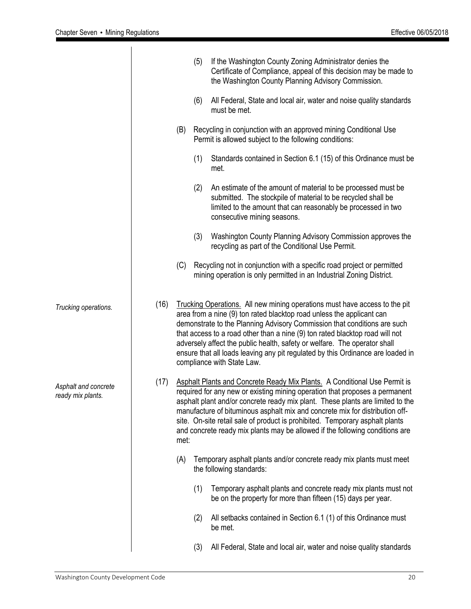|                                           |      |      | (5) | If the Washington County Zoning Administrator denies the<br>Certificate of Compliance, appeal of this decision may be made to<br>the Washington County Planning Advisory Commission.                                                                                                                                                                                                                                                                                                                          |
|-------------------------------------------|------|------|-----|---------------------------------------------------------------------------------------------------------------------------------------------------------------------------------------------------------------------------------------------------------------------------------------------------------------------------------------------------------------------------------------------------------------------------------------------------------------------------------------------------------------|
|                                           |      |      | (6) | All Federal, State and local air, water and noise quality standards<br>must be met.                                                                                                                                                                                                                                                                                                                                                                                                                           |
|                                           |      | (B)  |     | Recycling in conjunction with an approved mining Conditional Use<br>Permit is allowed subject to the following conditions:                                                                                                                                                                                                                                                                                                                                                                                    |
|                                           |      |      | (1) | Standards contained in Section 6.1 (15) of this Ordinance must be<br>met.                                                                                                                                                                                                                                                                                                                                                                                                                                     |
|                                           |      |      | (2) | An estimate of the amount of material to be processed must be<br>submitted. The stockpile of material to be recycled shall be<br>limited to the amount that can reasonably be processed in two<br>consecutive mining seasons.                                                                                                                                                                                                                                                                                 |
|                                           |      |      | (3) | Washington County Planning Advisory Commission approves the<br>recycling as part of the Conditional Use Permit.                                                                                                                                                                                                                                                                                                                                                                                               |
|                                           |      | (C)  |     | Recycling not in conjunction with a specific road project or permitted<br>mining operation is only permitted in an Industrial Zoning District.                                                                                                                                                                                                                                                                                                                                                                |
| Trucking operations.                      | (16) |      |     | Trucking Operations. All new mining operations must have access to the pit<br>area from a nine (9) ton rated blacktop road unless the applicant can<br>demonstrate to the Planning Advisory Commission that conditions are such<br>that access to a road other than a nine (9) ton rated blacktop road will not<br>adversely affect the public health, safety or welfare. The operator shall<br>ensure that all loads leaving any pit regulated by this Ordinance are loaded in<br>compliance with State Law. |
| Asphalt and concrete<br>ready mix plants. | (17) | met: |     | Asphalt Plants and Concrete Ready Mix Plants. A Conditional Use Permit is<br>required for any new or existing mining operation that proposes a permanent<br>asphalt plant and/or concrete ready mix plant. These plants are limited to the<br>manufacture of bituminous asphalt mix and concrete mix for distribution off-<br>site. On-site retail sale of product is prohibited. Temporary asphalt plants<br>and concrete ready mix plants may be allowed if the following conditions are                    |
|                                           |      | (A)  |     | Temporary asphalt plants and/or concrete ready mix plants must meet<br>the following standards:                                                                                                                                                                                                                                                                                                                                                                                                               |
|                                           |      |      | (1) | Temporary asphalt plants and concrete ready mix plants must not<br>be on the property for more than fifteen (15) days per year.                                                                                                                                                                                                                                                                                                                                                                               |
|                                           |      |      | (2) | All setbacks contained in Section 6.1 (1) of this Ordinance must<br>be met.                                                                                                                                                                                                                                                                                                                                                                                                                                   |
|                                           |      |      | (3) | All Federal, State and local air, water and noise quality standards                                                                                                                                                                                                                                                                                                                                                                                                                                           |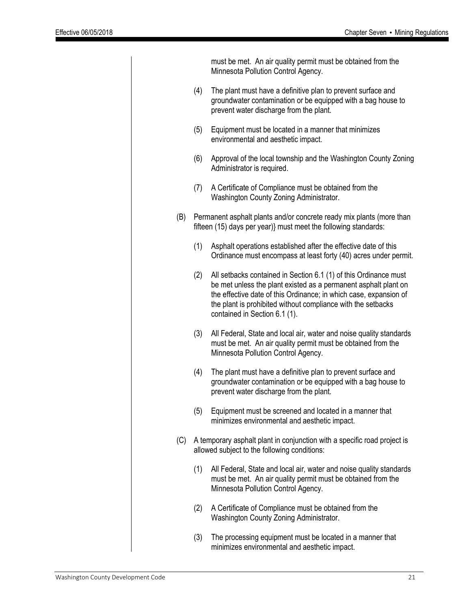|     |     | must be met. An air quality permit must be obtained from the<br>Minnesota Pollution Control Agency.                                                                                                                                                                                                       |
|-----|-----|-----------------------------------------------------------------------------------------------------------------------------------------------------------------------------------------------------------------------------------------------------------------------------------------------------------|
|     | (4) | The plant must have a definitive plan to prevent surface and<br>groundwater contamination or be equipped with a bag house to<br>prevent water discharge from the plant.                                                                                                                                   |
|     | (5) | Equipment must be located in a manner that minimizes<br>environmental and aesthetic impact.                                                                                                                                                                                                               |
|     | (6) | Approval of the local township and the Washington County Zoning<br>Administrator is required.                                                                                                                                                                                                             |
|     | (7) | A Certificate of Compliance must be obtained from the<br>Washington County Zoning Administrator.                                                                                                                                                                                                          |
| (B) |     | Permanent asphalt plants and/or concrete ready mix plants (more than<br>fifteen (15) days per year)} must meet the following standards:                                                                                                                                                                   |
|     | (1) | Asphalt operations established after the effective date of this<br>Ordinance must encompass at least forty (40) acres under permit.                                                                                                                                                                       |
|     | (2) | All setbacks contained in Section 6.1 (1) of this Ordinance must<br>be met unless the plant existed as a permanent asphalt plant on<br>the effective date of this Ordinance; in which case, expansion of<br>the plant is prohibited without compliance with the setbacks<br>contained in Section 6.1 (1). |
|     | (3) | All Federal, State and local air, water and noise quality standards<br>must be met. An air quality permit must be obtained from the<br>Minnesota Pollution Control Agency.                                                                                                                                |
|     | (4) | The plant must have a definitive plan to prevent surface and<br>groundwater contamination or be equipped with a bag house to<br>prevent water discharge from the plant.                                                                                                                                   |
|     | (5) | Equipment must be screened and located in a manner that<br>minimizes environmental and aesthetic impact.                                                                                                                                                                                                  |
| (C) |     | A temporary asphalt plant in conjunction with a specific road project is<br>allowed subject to the following conditions:                                                                                                                                                                                  |
|     | (1) | All Federal, State and local air, water and noise quality standards<br>must be met. An air quality permit must be obtained from the<br>Minnesota Pollution Control Agency.                                                                                                                                |
|     | (2) | A Certificate of Compliance must be obtained from the<br>Washington County Zoning Administrator.                                                                                                                                                                                                          |
|     | (3) | The processing equipment must be located in a manner that<br>minimizes environmental and aesthetic impact.                                                                                                                                                                                                |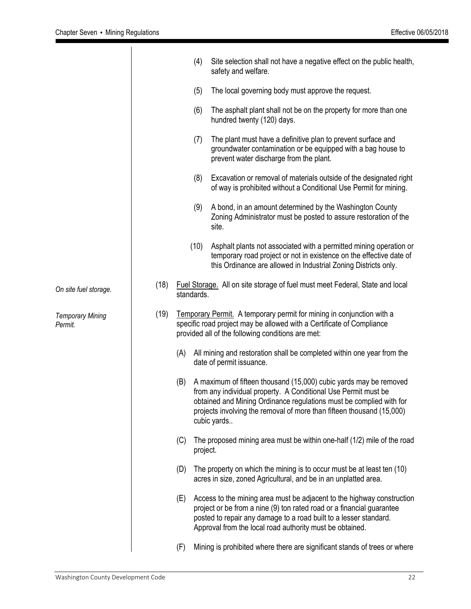|                                    |      | (4)        |                          | Site selection shall not have a negative effect on the public health,<br>safety and welfare.                                                                                                                                                                                        |
|------------------------------------|------|------------|--------------------------|-------------------------------------------------------------------------------------------------------------------------------------------------------------------------------------------------------------------------------------------------------------------------------------|
|                                    |      | (5)        |                          | The local governing body must approve the request.                                                                                                                                                                                                                                  |
|                                    |      | (6)        |                          | The asphalt plant shall not be on the property for more than one<br>hundred twenty (120) days.                                                                                                                                                                                      |
|                                    |      | (7)        |                          | The plant must have a definitive plan to prevent surface and<br>groundwater contamination or be equipped with a bag house to<br>prevent water discharge from the plant.                                                                                                             |
|                                    |      | (8)        |                          | Excavation or removal of materials outside of the designated right<br>of way is prohibited without a Conditional Use Permit for mining.                                                                                                                                             |
|                                    |      | (9)        | site.                    | A bond, in an amount determined by the Washington County<br>Zoning Administrator must be posted to assure restoration of the                                                                                                                                                        |
|                                    |      | (10)       |                          | Asphalt plants not associated with a permitted mining operation or<br>temporary road project or not in existence on the effective date of<br>this Ordinance are allowed in Industrial Zoning Districts only.                                                                        |
| On site fuel storage.              | (18) | standards. |                          | Fuel Storage. All on site storage of fuel must meet Federal, State and local                                                                                                                                                                                                        |
| <b>Temporary Mining</b><br>Permit. | (19) |            |                          | <b>Temporary Permit.</b> A temporary permit for mining in conjunction with a<br>specific road project may be allowed with a Certificate of Compliance<br>provided all of the following conditions are met:                                                                          |
|                                    |      | (A)        | date of permit issuance. | All mining and restoration shall be completed within one year from the                                                                                                                                                                                                              |
|                                    |      | (B)        | cubic yards              | A maximum of fifteen thousand (15,000) cubic yards may be removed<br>from any individual property. A Conditional Use Permit must be<br>obtained and Mining Ordinance regulations must be complied with for<br>projects involving the removal of more than fifteen thousand (15,000) |
|                                    |      | (C)        | project.                 | The proposed mining area must be within one-half (1/2) mile of the road                                                                                                                                                                                                             |
|                                    |      | (D)        |                          | The property on which the mining is to occur must be at least ten (10)<br>acres in size, zoned Agricultural, and be in an unplatted area.                                                                                                                                           |
|                                    |      | (E)        |                          | Access to the mining area must be adjacent to the highway construction<br>project or be from a nine (9) ton rated road or a financial guarantee<br>posted to repair any damage to a road built to a lesser standard.<br>Approval from the local road authority must be obtained.    |
|                                    |      | (F)        |                          | Mining is prohibited where there are significant stands of trees or where                                                                                                                                                                                                           |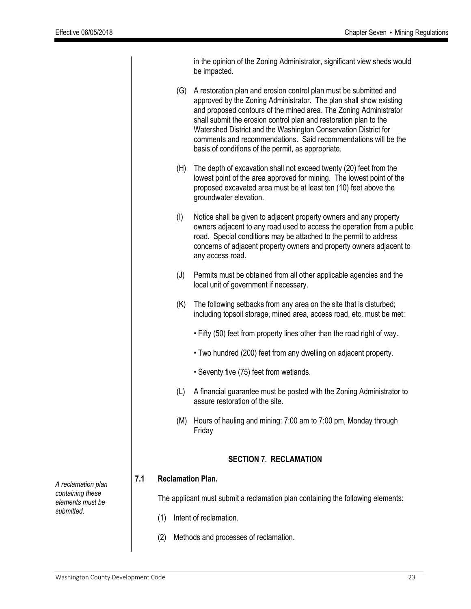|                               |                                                                                 |                        | in the opinion of the Zoning Administrator, significant view sheds would<br>be impacted.                                                                                                                                                                                                                                                                                                                                                                                     |  |  |  |  |  |
|-------------------------------|---------------------------------------------------------------------------------|------------------------|------------------------------------------------------------------------------------------------------------------------------------------------------------------------------------------------------------------------------------------------------------------------------------------------------------------------------------------------------------------------------------------------------------------------------------------------------------------------------|--|--|--|--|--|
|                               |                                                                                 | (G)                    | A restoration plan and erosion control plan must be submitted and<br>approved by the Zoning Administrator. The plan shall show existing<br>and proposed contours of the mined area. The Zoning Administrator<br>shall submit the erosion control plan and restoration plan to the<br>Watershed District and the Washington Conservation District for<br>comments and recommendations. Said recommendations will be the<br>basis of conditions of the permit, as appropriate. |  |  |  |  |  |
|                               |                                                                                 | (H)                    | The depth of excavation shall not exceed twenty (20) feet from the<br>lowest point of the area approved for mining. The lowest point of the<br>proposed excavated area must be at least ten (10) feet above the<br>groundwater elevation.                                                                                                                                                                                                                                    |  |  |  |  |  |
|                               |                                                                                 | (I)                    | Notice shall be given to adjacent property owners and any property<br>owners adjacent to any road used to access the operation from a public<br>road. Special conditions may be attached to the permit to address<br>concerns of adjacent property owners and property owners adjacent to<br>any access road.                                                                                                                                                                |  |  |  |  |  |
|                               |                                                                                 | (J)                    | Permits must be obtained from all other applicable agencies and the<br>local unit of government if necessary.                                                                                                                                                                                                                                                                                                                                                                |  |  |  |  |  |
|                               |                                                                                 | (K)                    | The following setbacks from any area on the site that is disturbed;<br>including topsoil storage, mined area, access road, etc. must be met:                                                                                                                                                                                                                                                                                                                                 |  |  |  |  |  |
|                               |                                                                                 |                        | . Fifty (50) feet from property lines other than the road right of way.                                                                                                                                                                                                                                                                                                                                                                                                      |  |  |  |  |  |
|                               |                                                                                 |                        | • Two hundred (200) feet from any dwelling on adjacent property.                                                                                                                                                                                                                                                                                                                                                                                                             |  |  |  |  |  |
|                               |                                                                                 |                        | • Seventy five (75) feet from wetlands.                                                                                                                                                                                                                                                                                                                                                                                                                                      |  |  |  |  |  |
|                               |                                                                                 | (L)                    | A financial guarantee must be posted with the Zoning Administrator to<br>assure restoration of the site.                                                                                                                                                                                                                                                                                                                                                                     |  |  |  |  |  |
|                               |                                                                                 | (M)                    | Hours of hauling and mining: 7:00 am to 7:00 pm, Monday through<br>Friday                                                                                                                                                                                                                                                                                                                                                                                                    |  |  |  |  |  |
| <b>SECTION 7. RECLAMATION</b> |                                                                                 |                        |                                                                                                                                                                                                                                                                                                                                                                                                                                                                              |  |  |  |  |  |
| 7.1                           |                                                                                 |                        | <b>Reclamation Plan.</b>                                                                                                                                                                                                                                                                                                                                                                                                                                                     |  |  |  |  |  |
|                               | The applicant must submit a reclamation plan containing the following elements: |                        |                                                                                                                                                                                                                                                                                                                                                                                                                                                                              |  |  |  |  |  |
|                               | (1)                                                                             | Intent of reclamation. |                                                                                                                                                                                                                                                                                                                                                                                                                                                                              |  |  |  |  |  |
|                               |                                                                                 |                        |                                                                                                                                                                                                                                                                                                                                                                                                                                                                              |  |  |  |  |  |
|                               | Methods and processes of reclamation.<br>(2)                                    |                        |                                                                                                                                                                                                                                                                                                                                                                                                                                                                              |  |  |  |  |  |

*A reclamation plan containing these elements must be submitted.*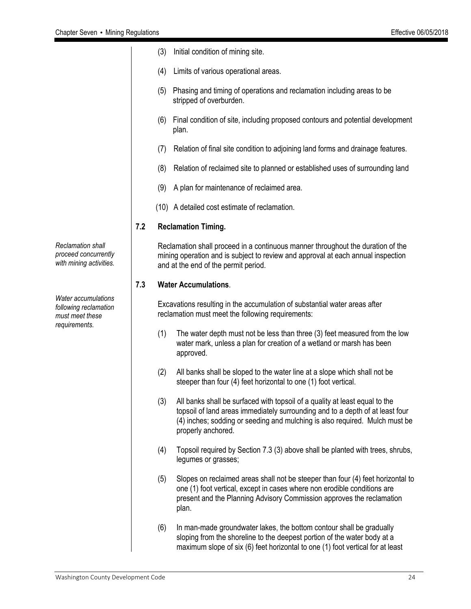- (3) Initial condition of mining site.
- (4) Limits of various operational areas.
- (5) Phasing and timing of operations and reclamation including areas to be stripped of overburden.
- (6) Final condition of site, including proposed contours and potential development plan.
- (7) Relation of final site condition to adjoining land forms and drainage features.
- (8) Relation of reclaimed site to planned or established uses of surrounding land
- (9) A plan for maintenance of reclaimed area.
- (10) A detailed cost estimate of reclamation.

#### **7.2 Reclamation Timing.**

Reclamation shall proceed in a continuous manner throughout the duration of the mining operation and is subject to review and approval at each annual inspection and at the end of the permit period.

#### **7.3 Water Accumulations**.

Excavations resulting in the accumulation of substantial water areas after reclamation must meet the following requirements:

- (1) The water depth must not be less than three (3) feet measured from the low water mark, unless a plan for creation of a wetland or marsh has been approved.
- (2) All banks shall be sloped to the water line at a slope which shall not be steeper than four (4) feet horizontal to one (1) foot vertical.
- (3) All banks shall be surfaced with topsoil of a quality at least equal to the topsoil of land areas immediately surrounding and to a depth of at least four (4) inches; sodding or seeding and mulching is also required. Mulch must be properly anchored.
- (4) Topsoil required by Section 7.3 (3) above shall be planted with trees, shrubs, legumes or grasses;
- (5) Slopes on reclaimed areas shall not be steeper than four (4) feet horizontal to one (1) foot vertical, except in cases where non erodible conditions are present and the Planning Advisory Commission approves the reclamation plan.
- (6) In man-made groundwater lakes, the bottom contour shall be gradually sloping from the shoreline to the deepest portion of the water body at a maximum slope of six (6) feet horizontal to one (1) foot vertical for at least

*Reclamation shall proceed concurrently with mining activities.*

*Water accumulations following reclamation must meet these requirements.*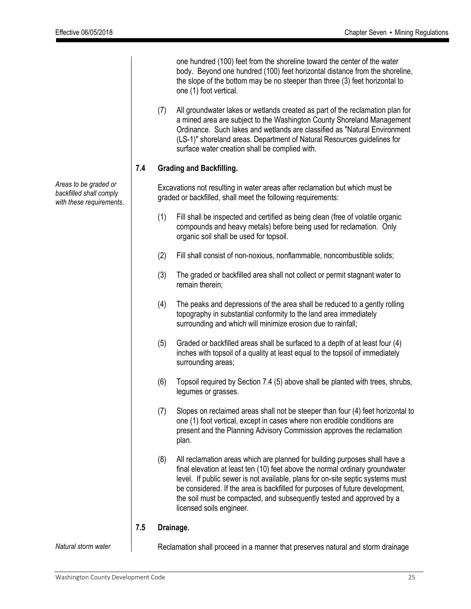one hundred (100) feet from the shoreline toward the center of the water body. Beyond one hundred (100) feet horizontal distance from the shoreline, the slope of the bottom may be no steeper than three (3) feet horizontal to one (1) foot vertical.

(7) All groundwater lakes or wetlands created as part of the reclamation plan for a mined area are subject to the Washington County Shoreland Management Ordinance. Such lakes and wetlands are classified as "Natural Environment (LS-1)" shoreland areas. Department of Natural Resources guidelines for surface water creation shall be complied with.

#### **7.4 Grading and Backfilling.**

Excavations not resulting in water areas after reclamation but which must be graded or backfilled, shall meet the following requirements:

- (1) Fill shall be inspected and certified as being clean (free of volatile organic compounds and heavy metals) before being used for reclamation. Only organic soil shall be used for topsoil.
- (2) Fill shall consist of non-noxious, nonflammable, noncombustible solids;
- (3) The graded or backfilled area shall not collect or permit stagnant water to remain therein;
- (4) The peaks and depressions of the area shall be reduced to a gently rolling topography in substantial conformity to the land area immediately surrounding and which will minimize erosion due to rainfall;
- (5) Graded or backfilled areas shall be surfaced to a depth of at least four (4) inches with topsoil of a quality at least equal to the topsoil of immediately surrounding areas;
- (6) Topsoil required by Section 7.4 (5) above shall be planted with trees, shrubs, legumes or grasses.
- (7) Slopes on reclaimed areas shall not be steeper than four (4) feet horizontal to one (1) foot vertical, except in cases where non erodible conditions are present and the Planning Advisory Commission approves the reclamation plan.
- (8) All reclamation areas which are planned for building purposes shall have a final elevation at least ten (10) feet above the normal ordinary groundwater level. If public sewer is not available, plans for on-site septic systems must be considered. If the area is backfilled for purposes of future development, the soil must be compacted, and subsequently tested and approved by a licensed soils engineer.

#### **7.5 Drainage.**

*Natural storm water* 

Reclamation shall proceed in a manner that preserves natural and storm drainage

*Areas to be graded or backfilled shall comply with these requirements.*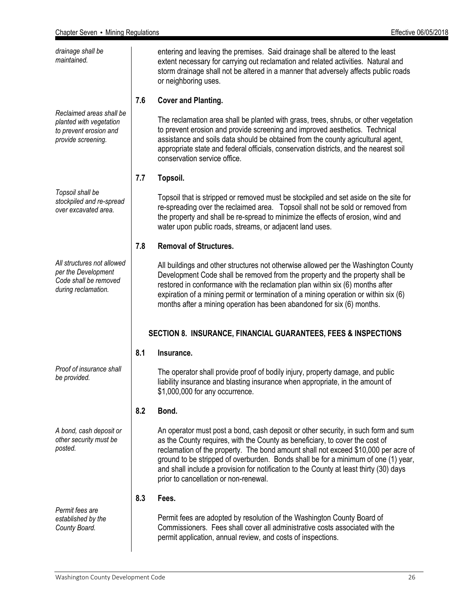| Effective 06/05/2018 |  |
|----------------------|--|
|                      |  |

| drainage shall be<br>maintained.                                                                    |     | entering and leaving the premises. Said drainage shall be altered to the least<br>extent necessary for carrying out reclamation and related activities. Natural and<br>storm drainage shall not be altered in a manner that adversely affects public roads<br>or neighboring uses.                                                                                                                                                                                                |  |  |  |
|-----------------------------------------------------------------------------------------------------|-----|-----------------------------------------------------------------------------------------------------------------------------------------------------------------------------------------------------------------------------------------------------------------------------------------------------------------------------------------------------------------------------------------------------------------------------------------------------------------------------------|--|--|--|
|                                                                                                     | 7.6 | <b>Cover and Planting.</b>                                                                                                                                                                                                                                                                                                                                                                                                                                                        |  |  |  |
| Reclaimed areas shall be<br>planted with vegetation<br>to prevent erosion and<br>provide screening. |     | The reclamation area shall be planted with grass, trees, shrubs, or other vegetation<br>to prevent erosion and provide screening and improved aesthetics. Technical<br>assistance and soils data should be obtained from the county agricultural agent,<br>appropriate state and federal officials, conservation districts, and the nearest soil<br>conservation service office.                                                                                                  |  |  |  |
|                                                                                                     | 7.7 | Topsoil.                                                                                                                                                                                                                                                                                                                                                                                                                                                                          |  |  |  |
| Topsoil shall be<br>stockpiled and re-spread<br>over excavated area.                                |     | Topsoil that is stripped or removed must be stockpiled and set aside on the site for<br>re-spreading over the reclaimed area. Topsoil shall not be sold or removed from<br>the property and shall be re-spread to minimize the effects of erosion, wind and<br>water upon public roads, streams, or adjacent land uses.                                                                                                                                                           |  |  |  |
|                                                                                                     | 7.8 | <b>Removal of Structures.</b>                                                                                                                                                                                                                                                                                                                                                                                                                                                     |  |  |  |
| All structures not allowed<br>per the Development<br>Code shall be removed<br>during reclamation.   |     | All buildings and other structures not otherwise allowed per the Washington County<br>Development Code shall be removed from the property and the property shall be<br>restored in conformance with the reclamation plan within six (6) months after<br>expiration of a mining permit or termination of a mining operation or within six (6)<br>months after a mining operation has been abandoned for six (6) months.                                                            |  |  |  |
| <b>SECTION 8. INSURANCE, FINANCIAL GUARANTEES, FEES &amp; INSPECTIONS</b>                           |     |                                                                                                                                                                                                                                                                                                                                                                                                                                                                                   |  |  |  |
|                                                                                                     | 8.1 | Insurance.                                                                                                                                                                                                                                                                                                                                                                                                                                                                        |  |  |  |
| Proof of insurance shall<br>be provided.                                                            |     | The operator shall provide proof of bodily injury, property damage, and public<br>liability insurance and blasting insurance when appropriate, in the amount of<br>\$1,000,000 for any occurrence.                                                                                                                                                                                                                                                                                |  |  |  |
|                                                                                                     | 8.2 | Bond.                                                                                                                                                                                                                                                                                                                                                                                                                                                                             |  |  |  |
| A bond, cash deposit or<br>other security must be<br>posted.                                        |     | An operator must post a bond, cash deposit or other security, in such form and sum<br>as the County requires, with the County as beneficiary, to cover the cost of<br>reclamation of the property. The bond amount shall not exceed \$10,000 per acre of<br>ground to be stripped of overburden. Bonds shall be for a minimum of one (1) year,<br>and shall include a provision for notification to the County at least thirty (30) days<br>prior to cancellation or non-renewal. |  |  |  |
|                                                                                                     | 8.3 | Fees.                                                                                                                                                                                                                                                                                                                                                                                                                                                                             |  |  |  |
| Permit fees are<br>established by the<br>County Board.                                              |     | Permit fees are adopted by resolution of the Washington County Board of<br>Commissioners. Fees shall cover all administrative costs associated with the<br>permit application, annual review, and costs of inspections.                                                                                                                                                                                                                                                           |  |  |  |
|                                                                                                     |     |                                                                                                                                                                                                                                                                                                                                                                                                                                                                                   |  |  |  |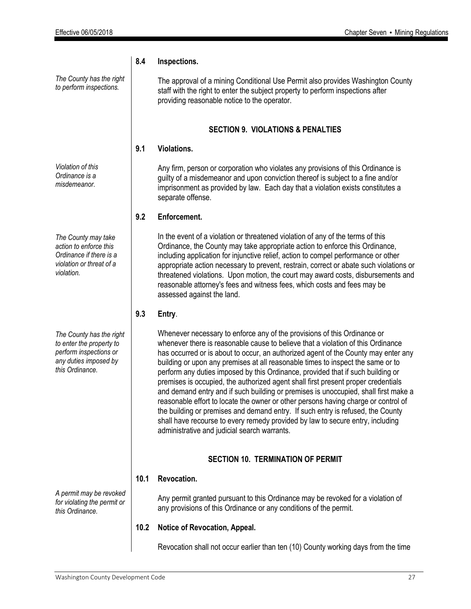**8.4 Inspections.** 

*The County has the right to perform inspections.*

*Violation of this Ordinance is a misdemeanor.*

*The County may take action to enforce this Ordinance if there is a violation or threat of a violation.*

*The County has the right to enter the property to perform inspections or any duties imposed by this Ordinance.*

*A permit may be revoked for violating the permit or this Ordinance.*

The approval of a mining Conditional Use Permit also provides Washington County staff with the right to enter the subject property to perform inspections after providing reasonable notice to the operator.

#### **SECTION 9. VIOLATIONS & PENALTIES**

#### **9.1 Violations.**

Any firm, person or corporation who violates any provisions of this Ordinance is guilty of a misdemeanor and upon conviction thereof is subject to a fine and/or imprisonment as provided by law. Each day that a violation exists constitutes a separate offense.

#### **9.2 Enforcement.**

In the event of a violation or threatened violation of any of the terms of this Ordinance, the County may take appropriate action to enforce this Ordinance, including application for injunctive relief, action to compel performance or other appropriate action necessary to prevent, restrain, correct or abate such violations or threatened violations. Upon motion, the court may award costs, disbursements and reasonable attorney's fees and witness fees, which costs and fees may be assessed against the land.

#### **9.3 Entry**.

Whenever necessary to enforce any of the provisions of this Ordinance or whenever there is reasonable cause to believe that a violation of this Ordinance has occurred or is about to occur, an authorized agent of the County may enter any building or upon any premises at all reasonable times to inspect the same or to perform any duties imposed by this Ordinance, provided that if such building or premises is occupied, the authorized agent shall first present proper credentials and demand entry and if such building or premises is unoccupied, shall first make a reasonable effort to locate the owner or other persons having charge or control of the building or premises and demand entry. If such entry is refused, the County shall have recourse to every remedy provided by law to secure entry, including administrative and judicial search warrants.

#### **SECTION 10. TERMINATION OF PERMIT**

#### **10.1 Revocation.**

Any permit granted pursuant to this Ordinance may be revoked for a violation of any provisions of this Ordinance or any conditions of the permit.

#### **10.2 Notice of Revocation, Appeal.**

Revocation shall not occur earlier than ten (10) County working days from the time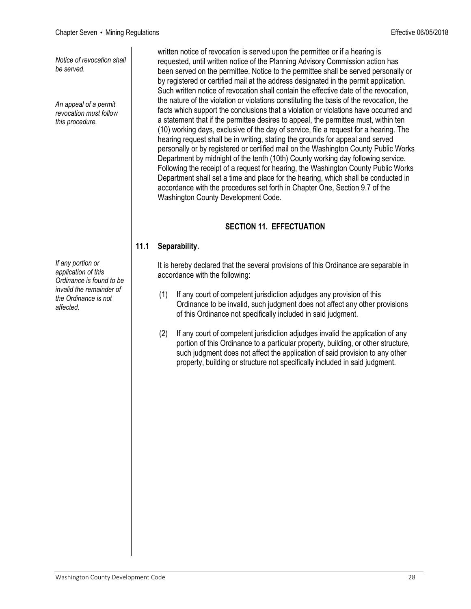*Notice of revocation shall be served.*

*An appeal of a permit revocation must follow this procedure.* 

*If any portion or application of this Ordinance is found to be invalid the remainder of the Ordinance is not affected.*

written notice of revocation is served upon the permittee or if a hearing is requested, until written notice of the Planning Advisory Commission action has been served on the permittee. Notice to the permittee shall be served personally or by registered or certified mail at the address designated in the permit application. Such written notice of revocation shall contain the effective date of the revocation, the nature of the violation or violations constituting the basis of the revocation, the facts which support the conclusions that a violation or violations have occurred and a statement that if the permittee desires to appeal, the permittee must, within ten (10) working days, exclusive of the day of service, file a request for a hearing. The hearing request shall be in writing, stating the grounds for appeal and served personally or by registered or certified mail on the Washington County Public Works Department by midnight of the tenth (10th) County working day following service. Following the receipt of a request for hearing, the Washington County Public Works Department shall set a time and place for the hearing, which shall be conducted in accordance with the procedures set forth in Chapter One, Section 9.7 of the Washington County Development Code.

### **SECTION 11. EFFECTUATION**

#### **11.1 Separability.**

It is hereby declared that the several provisions of this Ordinance are separable in accordance with the following:

- (1) If any court of competent jurisdiction adjudges any provision of this Ordinance to be invalid, such judgment does not affect any other provisions of this Ordinance not specifically included in said judgment.
- (2) If any court of competent jurisdiction adjudges invalid the application of any portion of this Ordinance to a particular property, building, or other structure, such judgment does not affect the application of said provision to any other property, building or structure not specifically included in said judgment.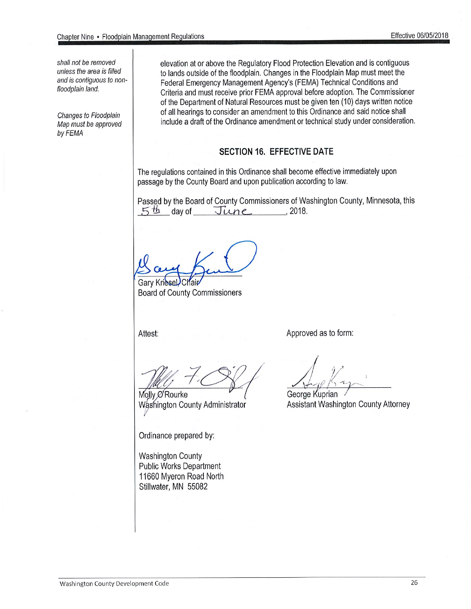shall not be removed unless the area is filled and is contiguous to nonfloodplain land.

Changes to Floodplain Map must be approved by FEMA

elevation at or above the Regulatory Flood Protection Elevation and is contiguous to lands outside of the floodplain. Changes in the Floodplain Map must meet the Federal Emergency Management Agency's (FEMA) Technical Conditions and Criteria and must receive prior FEMA approval before adoption. The Commissioner of the Department of Natural Resources must be given ten (10) days written notice of all hearings to consider an amendment to this Ordinance and said notice shall include a draft of the Ordinance amendment or technical study under consideration.

#### **SECTION 16. EFFECTIVE DATE**

The regulations contained in this Ordinance shall become effective immediately upon passage by the County Board and upon publication according to law.

Passed by the Board of County Commissioners of Washington County, Minnesota, this  $5th$  day of  $June$  2018.

**Gary Kries** 

**Board of County Commissioners** 

Attest:

Approved as to form:

Molly O'Rourke Washington County Administrator

Ordinance prepared by:

**Washington County Public Works Department** 11660 Myeron Road North Stillwater, MN 55082

George Kuprian

Assistant Washington County Attorney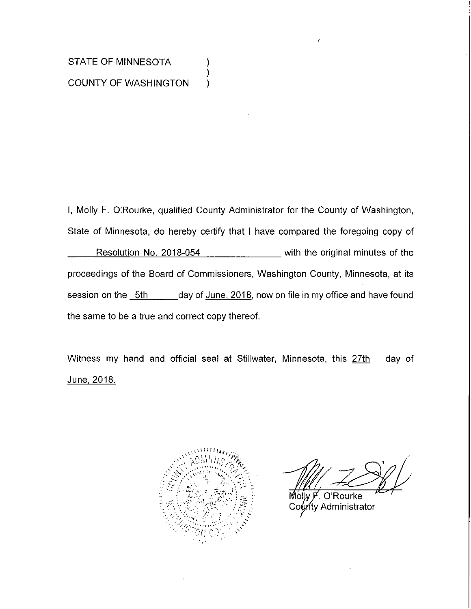## STATE OF MINNESOTA **COUNTY OF WASHINGTON**

I, Molly F. O'Rourke, qualified County Administrator for the County of Washington, State of Minnesota, do hereby certify that I have compared the foregoing copy of Resolution No. 2018-054 \_\_\_\_\_\_\_\_\_\_\_ with the original minutes of the proceedings of the Board of Commissioners, Washington County, Minnesota, at its session on the 5th \_\_\_\_\_\_ day of June, 2018, now on file in my office and have found the same to be a true and correct copy thereof.

).

Witness my hand and official seal at Stillwater, Minnesota, this 27th day of <u>June, 2018.</u>



O'Rourke Molw F ท<sub>ี</sub>ty Administrator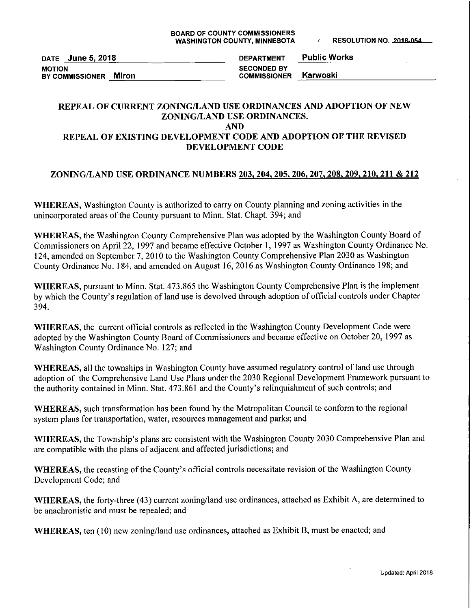DATE June 5, 2018 **MOTION** BY COMMISSIONER Miron

**Public Works DEPARTMENT SECONDED BY** Karwoski **COMMISSIONER** 

#### REPEAL OF CURRENT ZONING/LAND USE ORDINANCES AND ADOPTION OF NEW ZONING/LAND USE ORDINANCES. **AND**

#### REPEAL OF EXISTING DEVELOPMENT CODE AND ADOPTION OF THE REVISED DEVELOPMENT CODE

#### ZONING/LAND USE ORDINANCE NUMBERS 203, 204, 205, 206, 207, 208, 209, 210, 211 & 212

WHEREAS, Washington County is authorized to carry on County planning and zoning activities in the unincorporated areas of the County pursuant to Minn. Stat. Chapt. 394; and

WHEREAS, the Washington County Comprehensive Plan was adopted by the Washington County Board of Commissioners on April 22, 1997 and became effective October 1, 1997 as Washington County Ordinance No. 124, amended on September 7, 2010 to the Washington County Comprehensive Plan 2030 as Washington County Ordinance No. 184, and amended on August 16, 2016 as Washington County Ordinance 198; and

WHEREAS, pursuant to Minn. Stat. 473.865 the Washington County Comprehensive Plan is the implement by which the County's regulation of land use is devolved through adoption of official controls under Chapter 394.

**WHEREAS**, the current official controls as reflected in the Washington County Development Code were adopted by the Washington County Board of Commissioners and became effective on October 20, 1997 as Washington County Ordinance No. 127; and

WHEREAS, all the townships in Washington County have assumed regulatory control of land use through adoption of the Comprehensive Land Use Plans under the 2030 Regional Development Framework pursuant to the authority contained in Minn. Stat. 473.861 and the County's relinquishment of such controls; and

WHEREAS, such transformation has been found by the Metropolitan Council to conform to the regional system plans for transportation, water, resources management and parks; and

WHEREAS, the Township's plans are consistent with the Washington County 2030 Comprehensive Plan and are compatible with the plans of adjacent and affected jurisdictions; and

WHEREAS, the recasting of the County's official controls necessitate revision of the Washington County Development Code; and

WHEREAS, the forty-three (43) current zoning/land use ordinances, attached as Exhibit A, are determined to be anachronistic and must be repealed; and

WHEREAS, ten (10) new zoning/land use ordinances, attached as Exhibit B, must be enacted; and